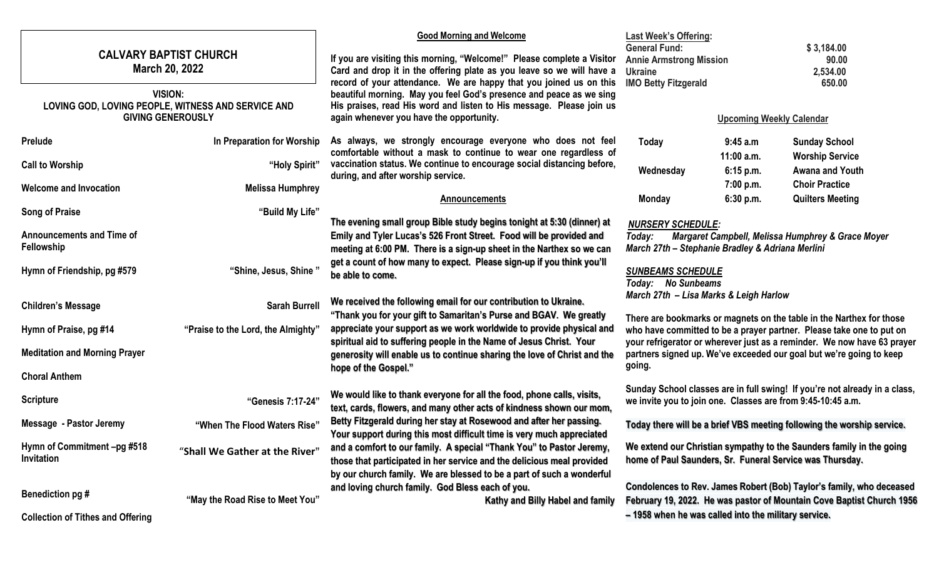|                                                                                                  |                                    | <b>Good Morning and Welcome</b>                                                                                                                                                                                                                                                                                                                                                                                  | <b>Last Week's Offering:</b>                                                                                                                                                                                                                                                                   |                         |                                                  |  |
|--------------------------------------------------------------------------------------------------|------------------------------------|------------------------------------------------------------------------------------------------------------------------------------------------------------------------------------------------------------------------------------------------------------------------------------------------------------------------------------------------------------------------------------------------------------------|------------------------------------------------------------------------------------------------------------------------------------------------------------------------------------------------------------------------------------------------------------------------------------------------|-------------------------|--------------------------------------------------|--|
| <b>CALVARY BAPTIST CHURCH</b><br><b>March 20, 2022</b>                                           |                                    | If you are visiting this morning, "Welcome!" Please complete a Visitor<br>Card and drop it in the offering plate as you leave so we will have a<br>record of your attendance. We are happy that you joined us on this<br>beautiful morning. May you feel God's presence and peace as we sing<br>His praises, read His word and listen to His message. Please join us<br>again whenever you have the opportunity. | <b>General Fund:</b><br><b>Annie Armstrong Mission</b><br><b>Ukraine</b><br><b>IMO Betty Fitzgerald</b>                                                                                                                                                                                        |                         | \$3,184.00<br>90.00<br>2,534.00<br>650.00        |  |
| <b>VISION:</b><br>LOVING GOD, LOVING PEOPLE, WITNESS AND SERVICE AND<br><b>GIVING GENEROUSLY</b> |                                    |                                                                                                                                                                                                                                                                                                                                                                                                                  | <b>Upcoming Weekly Calendar</b>                                                                                                                                                                                                                                                                |                         |                                                  |  |
| Prelude                                                                                          | In Preparation for Worship         | As always, we strongly encourage everyone who does not feel                                                                                                                                                                                                                                                                                                                                                      | Today                                                                                                                                                                                                                                                                                          | 9:45 a.m                | <b>Sunday School</b>                             |  |
| <b>Call to Worship</b>                                                                           | "Holy Spirit"                      | comfortable without a mask to continue to wear one regardless of<br>vaccination status. We continue to encourage social distancing before,<br>during, and after worship service.                                                                                                                                                                                                                                 | Wednesday                                                                                                                                                                                                                                                                                      | 11:00 a.m.<br>6:15 p.m. | <b>Worship Service</b><br>Awana and Youth        |  |
| <b>Welcome and Invocation</b>                                                                    | <b>Melissa Humphrey</b>            | Announcements                                                                                                                                                                                                                                                                                                                                                                                                    | <b>Monday</b>                                                                                                                                                                                                                                                                                  | 7:00 p.m.<br>6:30 p.m.  | <b>Choir Practice</b><br><b>Quilters Meeting</b> |  |
| <b>Song of Praise</b>                                                                            | "Build My Life"                    |                                                                                                                                                                                                                                                                                                                                                                                                                  |                                                                                                                                                                                                                                                                                                |                         |                                                  |  |
| <b>Announcements and Time of</b><br>Fellowship                                                   |                                    | The evening small group Bible study begins tonight at 5:30 (dinner) at<br>Emily and Tyler Lucas's 526 Front Street. Food will be provided and<br>meeting at 6:00 PM. There is a sign-up sheet in the Narthex so we can                                                                                                                                                                                           | <b>NURSERY SCHEDULE:</b><br>Margaret Campbell, Melissa Humphrey & Grace Moyer<br>Today:<br>March 27th - Stephanie Bradley & Adriana Merlini<br><b>SUNBEAMS SCHEDULE</b><br>Today: No Sunbeams                                                                                                  |                         |                                                  |  |
| Hymn of Friendship, pg #579                                                                      | "Shine, Jesus, Shine"              | get a count of how many to expect. Please sign-up if you think you'll<br>be able to come.                                                                                                                                                                                                                                                                                                                        |                                                                                                                                                                                                                                                                                                |                         |                                                  |  |
| <b>Children's Message</b>                                                                        | <b>Sarah Burrell</b>               | March 27th - Lisa Marks & Leigh Harlow<br>We received the following email for our contribution to Ukraine.<br>"Thank you for your gift to Samaritan's Purse and BGAV. We greatly                                                                                                                                                                                                                                 |                                                                                                                                                                                                                                                                                                |                         |                                                  |  |
| Hymn of Praise, pg #14                                                                           | "Praise to the Lord, the Almighty" | appreciate your support as we work worldwide to provide physical and                                                                                                                                                                                                                                                                                                                                             | There are bookmarks or magnets on the table in the Narthex for those<br>who have committed to be a prayer partner. Please take one to put on<br>your refrigerator or wherever just as a reminder. We now have 63 prayer<br>partners signed up. We've exceeded our goal but we're going to keep |                         |                                                  |  |
| <b>Meditation and Morning Prayer</b>                                                             |                                    | spiritual aid to suffering people in the Name of Jesus Christ. Your<br>generosity will enable us to continue sharing the love of Christ and the                                                                                                                                                                                                                                                                  |                                                                                                                                                                                                                                                                                                |                         |                                                  |  |
| <b>Choral Anthem</b>                                                                             |                                    | hope of the Gospel."                                                                                                                                                                                                                                                                                                                                                                                             | going.                                                                                                                                                                                                                                                                                         |                         |                                                  |  |
| <b>Scripture</b>                                                                                 | "Genesis 7:17-24"                  | We would like to thank everyone for all the food, phone calls, visits,<br>text, cards, flowers, and many other acts of kindness shown our mom,                                                                                                                                                                                                                                                                   | Sunday School classes are in full swing! If you're not already in a class,<br>we invite you to join one. Classes are from 9:45-10:45 a.m.                                                                                                                                                      |                         |                                                  |  |
| Message - Pastor Jeremy                                                                          | "When The Flood Waters Rise"       | Betty Fitzgerald during her stay at Rosewood and after her passing.<br>Your support during this most difficult time is very much appreciated                                                                                                                                                                                                                                                                     | Today there will be a brief VBS meeting following the worship service.                                                                                                                                                                                                                         |                         |                                                  |  |
| Hymn of Commitment -pg #518<br>Invitation                                                        | "Shall We Gather at the River"     | and a comfort to our family. A special "Thank You" to Pastor Jeremy,<br>those that participated in her service and the delicious meal provided<br>by our church family. We are blessed to be a part of such a wonderful                                                                                                                                                                                          | We extend our Christian sympathy to the Saunders family in the going<br>home of Paul Saunders, Sr. Funeral Service was Thursday.                                                                                                                                                               |                         |                                                  |  |
| Benediction pg #                                                                                 | "May the Road Rise to Meet You"    | and loving church family. God Bless each of you.<br>Kathy and Billy Habel and family                                                                                                                                                                                                                                                                                                                             | Condolences to Rev. James Robert (Bob) Taylor's family, who deceased<br>February 19, 2022. He was pastor of Mountain Cove Baptist Church 1956<br>- 1958 when he was called into the military service.                                                                                          |                         |                                                  |  |
| <b>Collection of Tithes and Offering</b>                                                         |                                    |                                                                                                                                                                                                                                                                                                                                                                                                                  |                                                                                                                                                                                                                                                                                                |                         |                                                  |  |